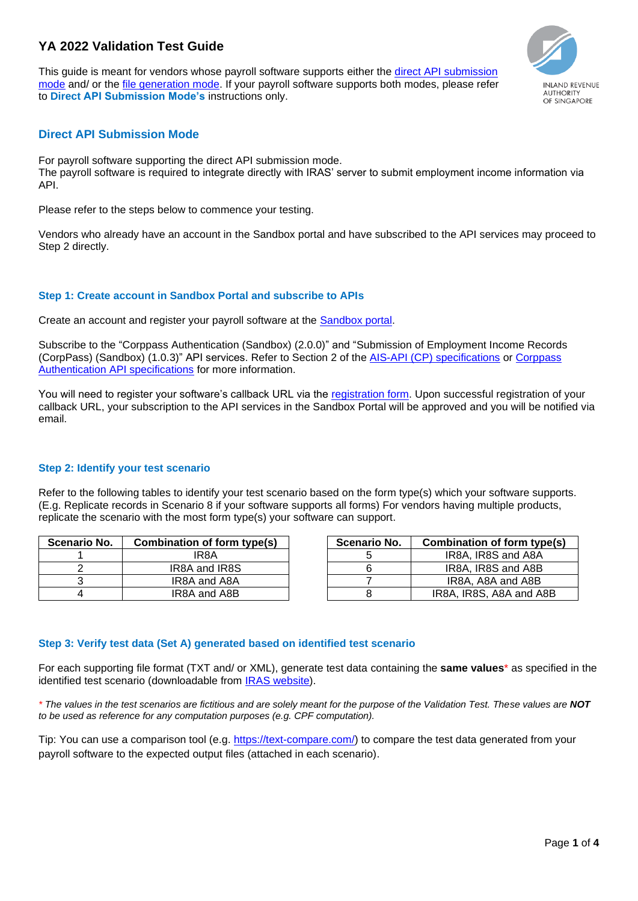# **YA 2022 Validation Test Guide**

This guide is meant for vendors whose payroll software supports either the [direct API submission](#page-0-0)  [mode](#page-0-0) and/ or the [file generation mode.](#page-2-0) If your payroll software supports both modes, please refer to **Direct API Submission Mode's** instructions only.



# <span id="page-0-0"></span>**Direct API Submission Mode**

For payroll software supporting the direct API submission mode. The payroll software is required to integrate directly with IRAS' server to submit employment income information via API.

Please refer to the steps below to commence your testing.

Vendors who already have an account in the Sandbox portal and have subscribed to the API services may proceed to Step 2 directly.

# **Step 1: Create account in Sandbox Portal and subscribe to APIs**

Create an account and register your payroll software at the [Sandbox portal.](https://apisandbox.iras.gov.sg/iras/devportal/sb/)

Subscribe to the "Corppass Authentication (Sandbox) (2.0.0)" and "Submission of Employment Income Records (CorpPass) (Sandbox) (1.0.3)" API services. Refer to Section 2 of the AIS-API (CP) [specifications](https://www.iras.gov.sg/irashome/uploadedFiles/IRASHome/Businesses/IRAS%20Sub%20of%20Emp%20Income%20(CorpPass)%20API%20Services%20Interface%20Specs.pdf) or [Corppass](https://apisandbox.iras.gov.sg/iras/devportal/sb/sites/iras.devportal.sb.apisandbox.iras.gov.sg/files/iras_corppass_authentication_api_services_interface_specification.pdf)  [Authentication API specifications](https://apisandbox.iras.gov.sg/iras/devportal/sb/sites/iras.devportal.sb.apisandbox.iras.gov.sg/files/iras_corppass_authentication_api_services_interface_specification.pdf) for more information.

You will need to register your software's callback URL via the [registration form.](https://go.gov.sg/apicallback) Upon successful registration of vour callback URL, your subscription to the API services in the Sandbox Portal will be approved and you will be notified via email.

# **Step 2: Identify your test scenario**

Refer to the following tables to identify your test scenario based on the form type(s) which your software supports. (E.g. Replicate records in Scenario 8 if your software supports all forms) For vendors having multiple products, replicate the scenario with the most form type(s) your software can support.

| Scenario No. | Combination of form type(s) | <b>Scenario No.</b> | Combination of form type(s) |
|--------------|-----------------------------|---------------------|-----------------------------|
|              | IR8A                        |                     | IR8A, IR8S and A8A          |
|              | IR8A and IR8S               |                     | IR8A, IR8S and A8B          |
|              | IR8A and A8A                |                     | IR8A, A8A and A8B           |
|              | IR8A and A8B                |                     | IR8A, IR8S, A8A and A8B     |

| ı <b>rio No.</b> | Combination of form type(s) | Scenario No. | Combination of form type(s) |
|------------------|-----------------------------|--------------|-----------------------------|
|                  | IR8A                        |              | IR8A, IR8S and A8A          |
| ົ                | IR8A and IR8S               |              | IR8A, IR8S and A8B          |
| 3                | IR8A and A8A                |              | IR8A, A8A and A8B           |
| 4                | IR8A and A8B                |              | IR8A, IR8S, A8A and A8B     |

# **Step 3: Verify test data (Set A) generated based on identified test scenario**

For each supporting file format (TXT and/ or XML), generate test data containing the **same values**\* as specified in the identified test scenario (downloadable from [IRAS website\)](https://www.iras.gov.sg/irashome/Businesses/Employers/Auto-Inclusion-Scheme--AIS-/How-To-Support-AIS-Submission-As-A-Vendor/#title4).

*\* The values in the test scenarios are fictitious and are solely meant for the purpose of the Validation Test. These values are NOT to be used as reference for any computation purposes (e.g. CPF computation).*

Tip: You can use a comparison tool (e.g. [https://text-compare.com/\)](https://text-compare.com/) to compare the test data generated from your payroll software to the expected output files (attached in each scenario).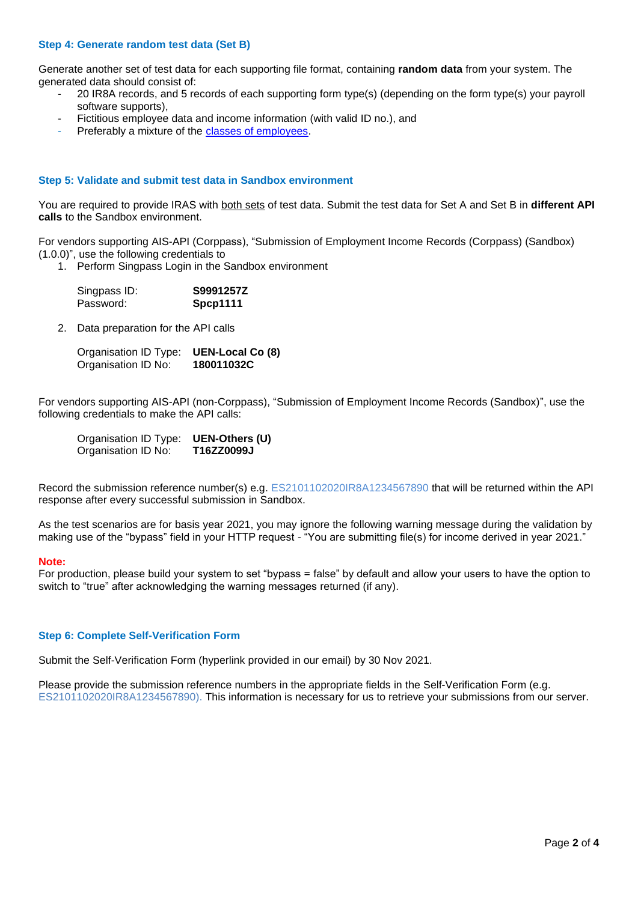## **Step 4: Generate random test data (Set B)**

Generate another set of test data for each supporting file format, containing **random data** from your system. The generated data should consist of:

- 20 IR8A records, and 5 records of each supporting form type(s) (depending on the form type(s) your payroll software supports),
- Fictitious employee data and income information (with valid ID no.), and
- Preferably a mixture of the [classes of employees.](https://www.iras.gov.sg/IRASHome/Businesses/Employers/Auto-Inclusion-Scheme--AIS-/Employees-to-be-Included-in-AIS-Submission/)

#### **Step 5: Validate and submit test data in Sandbox environment**

You are required to provide IRAS with both sets of test data. Submit the test data for Set A and Set B in **different API calls** to the Sandbox environment.

For vendors supporting AIS-API (Corppass), "Submission of Employment Income Records (Corppass) (Sandbox) (1.0.0)", use the following credentials to

1. Perform Singpass Login in the Sandbox environment

| Singpass ID: | S9991257Z |
|--------------|-----------|
| Password:    | Spcp1111  |

2. Data preparation for the API calls

| Organisation ID Type: | <b>UEN-Local Co (8)</b> |
|-----------------------|-------------------------|
| Organisation ID No:   | 180011032C              |

For vendors supporting AIS-API (non-Corppass), "Submission of Employment Income Records (Sandbox)", use the following credentials to make the API calls:

| Organisation ID Type: | UEN-Others (U) |
|-----------------------|----------------|
| Organisation ID No:   | T16ZZ0099J     |

Record the submission reference number(s) e.g. ES2101102020IR8A1234567890 that will be returned within the API response after every successful submission in Sandbox.

As the test scenarios are for basis year 2021, you may ignore the following warning message during the validation by making use of the "bypass" field in your HTTP request - "You are submitting file(s) for income derived in year 2021."

#### **Note:**

For production, please build your system to set "bypass = false" by default and allow your users to have the option to switch to "true" after acknowledging the warning messages returned (if any).

#### **Step 6: Complete Self-Verification Form**

Submit the Self-Verification Form (hyperlink provided in our email) by 30 Nov 2021.

Please provide the submission reference numbers in the appropriate fields in the Self-Verification Form (e.g. ES2101102020IR8A1234567890). This information is necessary for us to retrieve your submissions from our server.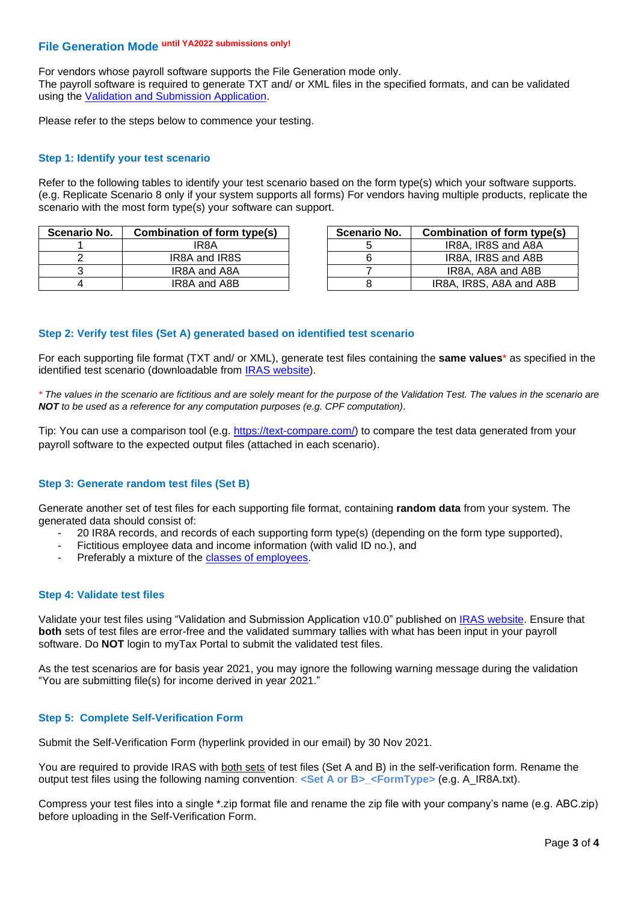# <span id="page-2-0"></span>**File Generation Mode until YA2022 submissions only!**

For vendors whose payroll software supports the File Generation mode only.

The payroll software is required to generate TXT and/ or XML files in the specified formats, and can be validated using the [Validation and Submission Application.](https://www.iras.gov.sg/ESVPortal/resources/OVP/AISalaryFileValidator.jnlp)

Please refer to the steps below to commence your testing.

### **Step 1: Identify your test scenario**

Refer to the following tables to identify your test scenario based on the form type(s) which your software supports. (e.g. Replicate Scenario 8 only if your system supports all forms) For vendors having multiple products, replicate the scenario with the most form type(s) your software can support.

| Scenario No. | Combination of form type(s) | Scenario No. | Combination of form type(s) |
|--------------|-----------------------------|--------------|-----------------------------|
|              | IR8A                        |              | IR8A. IR8S and A8A          |
|              | IR8A and IR8S               |              | IR8A. IR8S and A8B          |
|              | IR8A and A8A                |              | IR8A, A8A and A8B           |
|              | IR8A and A8B                |              | IR8A, IR8S, A8A and A8B     |

| ı <b>rio No.</b> | Combination of form type(s) | <b>Scenario No.</b> | Combination of form type(s) |
|------------------|-----------------------------|---------------------|-----------------------------|
|                  | IR8A                        |                     | IR8A, IR8S and A8A          |
| ے                | IR8A and IR8S               |                     | IR8A. IR8S and A8B          |
| 3                | IR8A and A8A                |                     | IR8A, A8A and A8B           |
| 4                | IR8A and A8B                |                     | IR8A, IR8S, A8A and A8B     |

## **Step 2: Verify test files (Set A) generated based on identified test scenario**

For each supporting file format (TXT and/ or XML), generate test files containing the **same values**\* as specified in the identified test scenario (downloadable from [IRAS website\)](https://www.iras.gov.sg/irashome/Businesses/Employers/Auto-Inclusion-Scheme--AIS-/How-To-Support-AIS-Submission-As-A-Vendor/#title4).

*\* The values in the scenario are fictitious and are solely meant for the purpose of the Validation Test. The values in the scenario are NOT to be used as a reference for any computation purposes (e.g. CPF computation).*

Tip: You can use a comparison tool (e.g. [https://text-compare.com/\)](https://text-compare.com/) to compare the test data generated from your payroll software to the expected output files (attached in each scenario).

### **Step 3: Generate random test files (Set B)**

Generate another set of test files for each supporting file format, containing **random data** from your system. The generated data should consist of:

- 20 IR8A records, and records of each supporting form type(s) (depending on the form type supported),
- Fictitious employee data and income information (with valid ID no.), and
- Preferably a mixture of the [classes of employees.](https://www.iras.gov.sg/IRASHome/Businesses/Employers/Auto-Inclusion-Scheme--AIS-/Employees-to-be-Included-in-AIS-Submission/)

### **Step 4: Validate test files**

Validate your test files using "Validation and Submission Application v10.0" published on [IRAS website.](https://www.iras.gov.sg/irashome/Businesses/Employers/Auto-Inclusion-Scheme--AIS-/Submit-Employment-Income-Records/#title2) Ensure that **both** sets of test files are error-free and the validated summary tallies with what has been input in your payroll software. Do **NOT** login to myTax Portal to submit the validated test files.

As the test scenarios are for basis year 2021, you may ignore the following warning message during the validation "You are submitting file(s) for income derived in year 2021."

### **Step 5: Complete Self-Verification Form**

Submit the Self-Verification Form (hyperlink provided in our email) by 30 Nov 2021.

You are required to provide IRAS with both sets of test files (Set A and B) in the self-verification form. Rename the output test files using the following naming convention: **<Set A or B>\_<FormType>** (e.g. A\_IR8A.txt)**.**

Compress your test files into a single \*.zip format file and rename the zip file with your company's name (e.g. ABC.zip) before uploading in the Self-Verification Form.